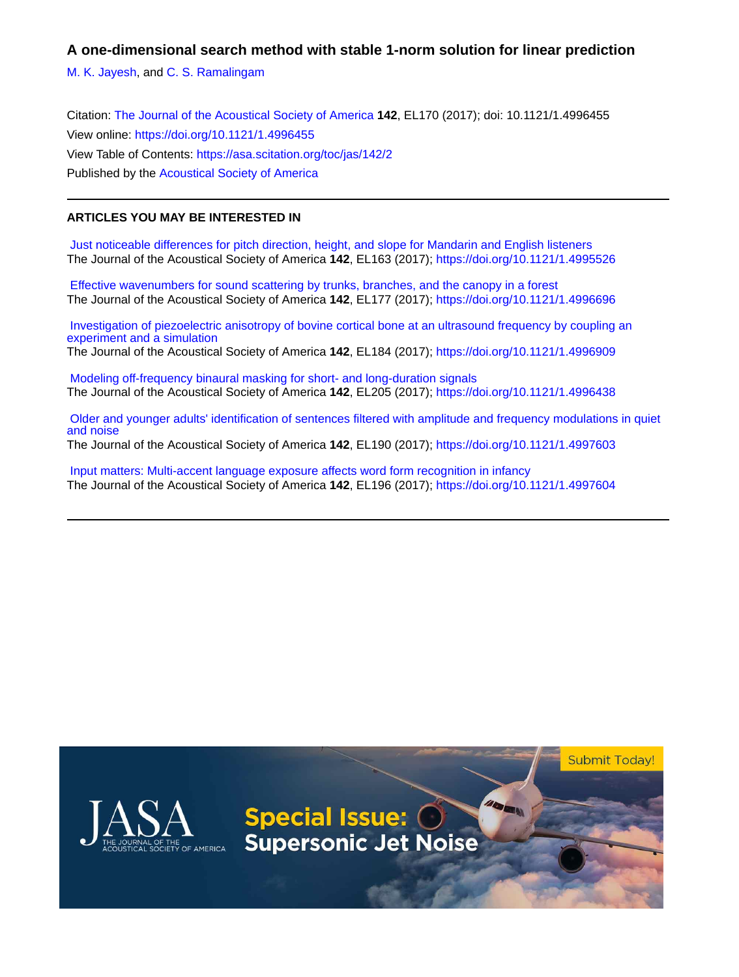**A one-dimensional search method with stable 1-norm solution for linear prediction**

[M. K. Jayesh](https://asa.scitation.org/author/Jayesh%2C+M+K), and [C. S. Ramalingam](https://asa.scitation.org/author/Ramalingam%2C+C+S)

Citation: [The Journal of the Acoustical Society of America](/loi/jas) **142**, EL170 (2017); doi: 10.1121/1.4996455 View online: <https://doi.org/10.1121/1.4996455> View Table of Contents: <https://asa.scitation.org/toc/jas/142/2> Published by the [Acoustical Society of America](https://asa.scitation.org/publisher/)

# **ARTICLES YOU MAY BE INTERESTED IN**

 [Just noticeable differences for pitch direction, height, and slope for Mandarin and English listeners](https://asa.scitation.org/doi/10.1121/1.4995526) The Journal of the Acoustical Society of America **142**, EL163 (2017);<https://doi.org/10.1121/1.4995526>

 [Effective wavenumbers for sound scattering by trunks, branches, and the canopy in a forest](https://asa.scitation.org/doi/10.1121/1.4996696) The Journal of the Acoustical Society of America **142**, EL177 (2017);<https://doi.org/10.1121/1.4996696>

 [Investigation of piezoelectric anisotropy of bovine cortical bone at an ultrasound frequency by coupling an](https://asa.scitation.org/doi/10.1121/1.4996909) [experiment and a simulation](https://asa.scitation.org/doi/10.1121/1.4996909) The Journal of the Acoustical Society of America **142**, EL184 (2017);<https://doi.org/10.1121/1.4996909>

 [Modeling off-frequency binaural masking for short- and long-duration signals](https://asa.scitation.org/doi/10.1121/1.4996438) The Journal of the Acoustical Society of America **142**, EL205 (2017);<https://doi.org/10.1121/1.4996438>

 [Older and younger adults' identification of sentences filtered with amplitude and frequency modulations in quiet](https://asa.scitation.org/doi/10.1121/1.4997603) [and noise](https://asa.scitation.org/doi/10.1121/1.4997603)

The Journal of the Acoustical Society of America **142**, EL190 (2017);<https://doi.org/10.1121/1.4997603>

 [Input matters: Multi-accent language exposure affects word form recognition in infancy](https://asa.scitation.org/doi/10.1121/1.4997604) The Journal of the Acoustical Society of America **142**, EL196 (2017);<https://doi.org/10.1121/1.4997604>

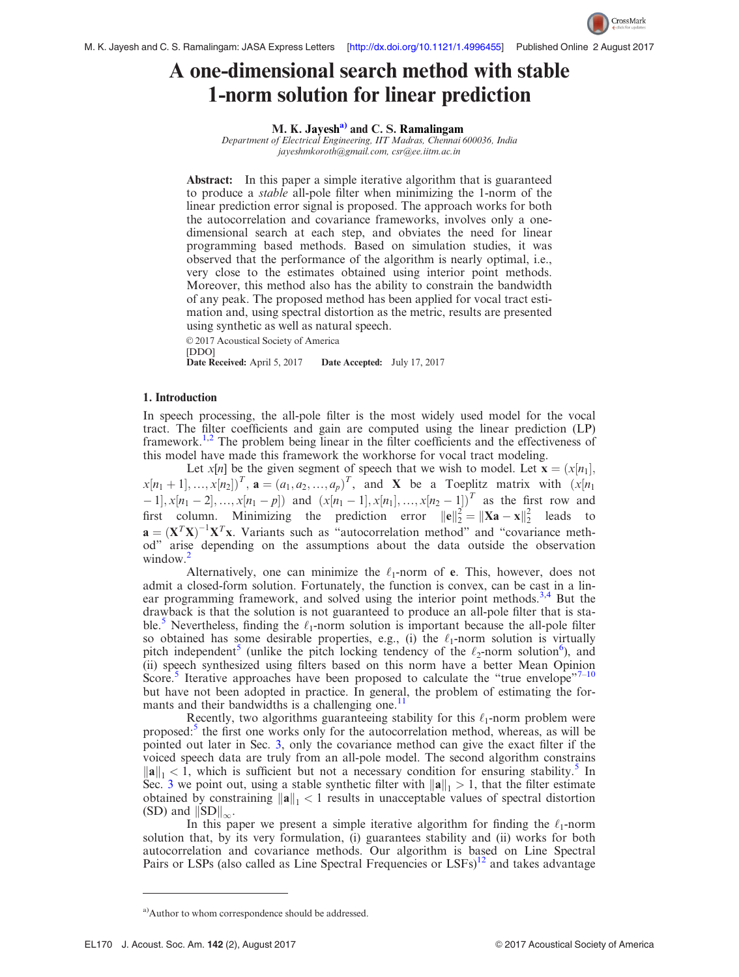

# A one-dimensional search method with stable 1-norm solution for linear prediction

M. K. Jayesh $a^2$  and C. S. Ramalingam

Department of Electrical Engineering, IIT Madras, Chennai 600036, India [jayeshmkoroth@gmail.com](mailto:jayeshmkoroth@gmail.com), [csr@ee.iitm.ac.in](mailto:csr@ee.iitm.ac.in)

Abstract: In this paper a simple iterative algorithm that is guaranteed to produce a stable all-pole filter when minimizing the 1-norm of the linear prediction error signal is proposed. The approach works for both the autocorrelation and covariance frameworks, involves only a onedimensional search at each step, and obviates the need for linear programming based methods. Based on simulation studies, it was observed that the performance of the algorithm is nearly optimal, i.e., very close to the estimates obtained using interior point methods. Moreover, this method also has the ability to constrain the bandwidth of any peak. The proposed method has been applied for vocal tract estimation and, using spectral distortion as the metric, results are presented using synthetic as well as natural speech.

© 2017 Acoustical Society of America [DDO]<br>Date Received: April 5, 2017 Date Accepted: July 17, 2017

## 1. Introduction

In speech processing, the all-pole filter is the most widely used model for the vocal tract. The filter coefficients and gain are computed using the linear prediction (LP) framework.<sup>[1,2](#page-6-0)</sup> The problem being linear in the filter coefficients and the effectiveness of this model have made this framework the workhorse for vocal tract modeling.

Let  $x[n]$  be the given segment of speech that we wish to model. Let  $\mathbf{x} = (x[n_1],$  $x[n_1+1],...,x[n_2])^T$ ,  $\mathbf{a} = (a_1, a_2,...,a_p)^T$ , and X be a Toeplitz matrix with  $(x[n_1, \ldots, x(n_p)])^T$  $[-1], x[n_1-2], ..., x[n_1-p]$  and  $(x[n_1-1], x[n_1], ..., x[n_2-1])$ <sup>T</sup> as the first row and first column. Minimizing the prediction error  $||\mathbf{e}||_2^2 = ||\mathbf{X}\mathbf{a} - \mathbf{x}||_2^2$  leads to  $\mathbf{a} = (\mathbf{X}^T \mathbf{X})^{-1} \mathbf{X}^T \mathbf{x}$ . Variants such as "autocorrelation method" and "covariance method" arise depending on the assumptions about the data outside the observation window.<sup>[2](#page-6-0)</sup>

Alternatively, one can minimize the  $\ell_1$ -norm of e. This, however, does not admit a closed-form solution. Fortunately, the function is convex, can be cast in a lin-ear programming framework, and solved using the interior point methods.<sup>[3,4](#page-6-0)</sup> But the drawback is that the solution is not guaranteed to produce an all-pole filter that is sta-ble.<sup>[5](#page-6-0)</sup> Nevertheless, finding the  $\ell_1$ -norm solution is important because the all-pole filter so obtained has some desirable properties, e.g., (i) the  $\ell_1$ -norm solution is virtually pitch independent<sup>[5](#page-6-0)</sup> (unlike the pitch locking tendency of the  $\ell_2$ -norm solution<sup>[6](#page-6-0)</sup>), and (ii) speech synthesized using filters based on this norm have a better Mean Opinion Score.<sup>[5](#page-6-0)</sup> Iterative approaches have been proposed to calculate the "true envelope"<sup>[7](#page-6-0)-[10](#page-6-0)</sup> but have not been adopted in practice. In general, the problem of estimating the formants and their bandwidths is a challenging one. $<sup>11</sup>$  $<sup>11</sup>$  $<sup>11</sup>$ </sup>

Recently, two algorithms guaranteeing stability for this  $\ell_1$ -norm problem were proposed:<sup>[5](#page-6-0)</sup> the first one works only for the autocorrelation method, whereas, as will be pointed out later in Sec. [3](#page-3-0), only the covariance method can give the exact filter if the voiced speech data are truly from an all-pole model. The second algorithm constrains  $\|\mathbf{a}\|_{1} < 1$ , which is sufficient but not a necessary condition for ensuring stability.<sup>[5](#page-6-0)</sup> In Sec. [3](#page-3-0) we point out, using a stable synthetic filter with  $\|\mathbf{a}\|_{1} > 1$ , that the filter estimate obtained by constraining  $\|\mathbf{a}\|_1 < 1$  results in unacceptable values of spectral distortion (SD) and  $||SD||_{\infty}$ .

In this paper we present a simple iterative algorithm for finding the  $\ell_1$ -norm solution that, by its very formulation, (i) guarantees stability and (ii) works for both autocorrelation and covariance methods. Our algorithm is based on Line Spectral Pairs or LSPs (also called as Line Spectral Frequencies or  $LSFs$ )<sup>[12](#page-6-0)</sup> and takes advantage

<sup>&</sup>lt;sup>a)</sup>Author to whom correspondence should be addressed.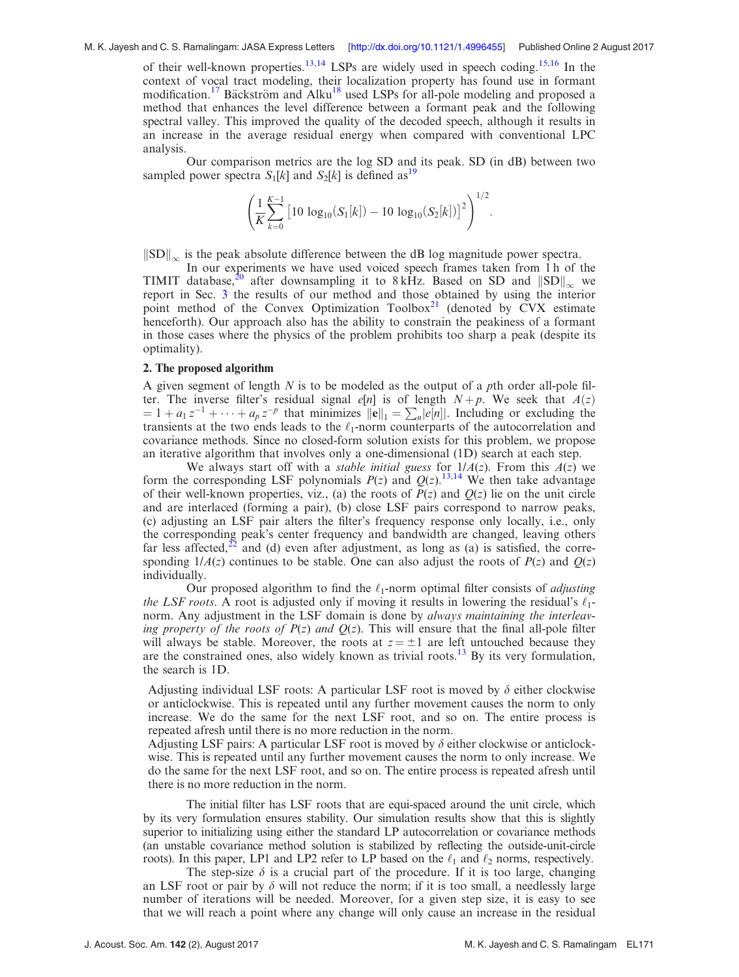# M. K. Jayesh and C. S. Ramalingam: JASA Express Letters [<http://dx.doi.org/10.1121/1.4996455>] Published Online 2 August 2017

of their well-known properties.<sup>[13,14](#page-7-0)</sup> LSPs are widely used in speech coding.<sup>[15,16](#page-7-0)</sup> In the context of vocal tract modeling, their localization property has found use in formant modification.<sup>[17](#page-7-0)</sup> Bäckström and Alku<sup>[18](#page-7-0)</sup> used LSPs for all-pole modeling and proposed a method that enhances the level difference between a formant peak and the following spectral valley. This improved the quality of the decoded speech, although it results in an increase in the average residual energy when compared with conventional LPC analysis.

Our comparison metrics are the log SD and its peak. SD (in dB) between two sampled power spectra  $S_1[k]$  and  $S_2[k]$  is defined as<sup>[19](#page-7-0)</sup>

$$
\left(\frac{1}{K}\sum_{k=0}^{K-1}\left[10\,\log_{10}(S_1[k])-10\,\log_{10}(S_2[k])\right]^2\right)^{1/2}
$$

:

 $\|\text{SD}\|_{\infty}$  is the peak absolute difference between the dB log magnitude power spectra.

In our experiments we have used voiced speech frames taken from 1 h of the TIMIT database,<sup>[20](#page-7-0)</sup> after downsampling it to 8 kHz. Based on SD and  $||SD||_{\infty}$  we report in Sec. [3](#page-3-0) the results of our method and those obtained by using the interior point method of the Convex Optimization  $Toolbox<sup>21</sup>$  $Toolbox<sup>21</sup>$  $Toolbox<sup>21</sup>$  (denoted by CVX estimate henceforth). Our approach also has the ability to constrain the peakiness of a formant in those cases where the physics of the problem prohibits too sharp a peak (despite its optimality).

## 2. The proposed algorithm

A given segment of length N is to be modeled as the output of a pth order all-pole filter. The inverse filter's residual signal  $e[n]$  is of length  $N+p$ . We seek that  $A(z)$  $= 1 + a_1 z^{-1} + \cdots + a_p z^{-p}$  that minimizes  $||e||_1 = \sum_n |e[n]|$ . Including or excluding the transients at the two ends leads to the  $\ell_1$ -norm counterparts of the autocorrelation and covariance methods. Since no closed-form solution exists for this problem, we propose an iterative algorithm that involves only a one-dimensional (1D) search at each step.

We always start off with a *stable initial guess* for  $1/A(z)$ . From this  $A(z)$  we form the corresponding LSF polynomials  $P(z)$  and  $Q(z)$ .<sup>[13](#page-7-0),[14](#page-7-0)</sup> We then take advantage of their well-known properties, viz., (a) the roots of  $P(z)$  and  $Q(z)$  lie on the unit circle and are interlaced (forming a pair), (b) close LSF pairs correspond to narrow peaks, (c) adjusting an LSF pair alters the filter's frequency response only locally, i.e., only the corresponding peak's center frequency and bandwidth are changed, leaving others far less affected,<sup>[22](#page-7-0)</sup> and (d) even after adjustment, as long as (a) is satisfied, the corresponding  $1/A(z)$  continues to be stable. One can also adjust the roots of  $P(z)$  and  $Q(z)$ individually.

Our proposed algorithm to find the  $\ell_1$ -norm optimal filter consists of *adjusting* the LSF roots. A root is adjusted only if moving it results in lowering the residual's  $\ell_1$ norm. Any adjustment in the LSF domain is done by *always maintaining the interleav*ing property of the roots of  $P(z)$  and  $Q(z)$ . This will ensure that the final all-pole filter will always be stable. Moreover, the roots at  $z = \pm 1$  are left untouched because they are the constrained ones, also widely known as trivial roots.<sup>[13](#page-7-0)</sup> By its very formulation, the search is 1D.

Adjusting individual LSF roots: A particular LSF root is moved by  $\delta$  either clockwise or anticlockwise. This is repeated until any further movement causes the norm to only increase. We do the same for the next LSF root, and so on. The entire process is repeated afresh until there is no more reduction in the norm.

Adjusting LSF pairs: A particular LSF root is moved by  $\delta$  either clockwise or anticlockwise. This is repeated until any further movement causes the norm to only increase. We do the same for the next LSF root, and so on. The entire process is repeated afresh until there is no more reduction in the norm.

The initial filter has LSF roots that are equi-spaced around the unit circle, which by its very formulation ensures stability. Our simulation results show that this is slightly superior to initializing using either the standard LP autocorrelation or covariance methods (an unstable covariance method solution is stabilized by reflecting the outside-unit-circle roots). In this paper, LP1 and LP2 refer to LP based on the  $\ell_1$  and  $\ell_2$  norms, respectively.

The step-size  $\delta$  is a crucial part of the procedure. If it is too large, changing an LSF root or pair by  $\delta$  will not reduce the norm; if it is too small, a needlessly large number of iterations will be needed. Moreover, for a given step size, it is easy to see that we will reach a point where any change will only cause an increase in the residual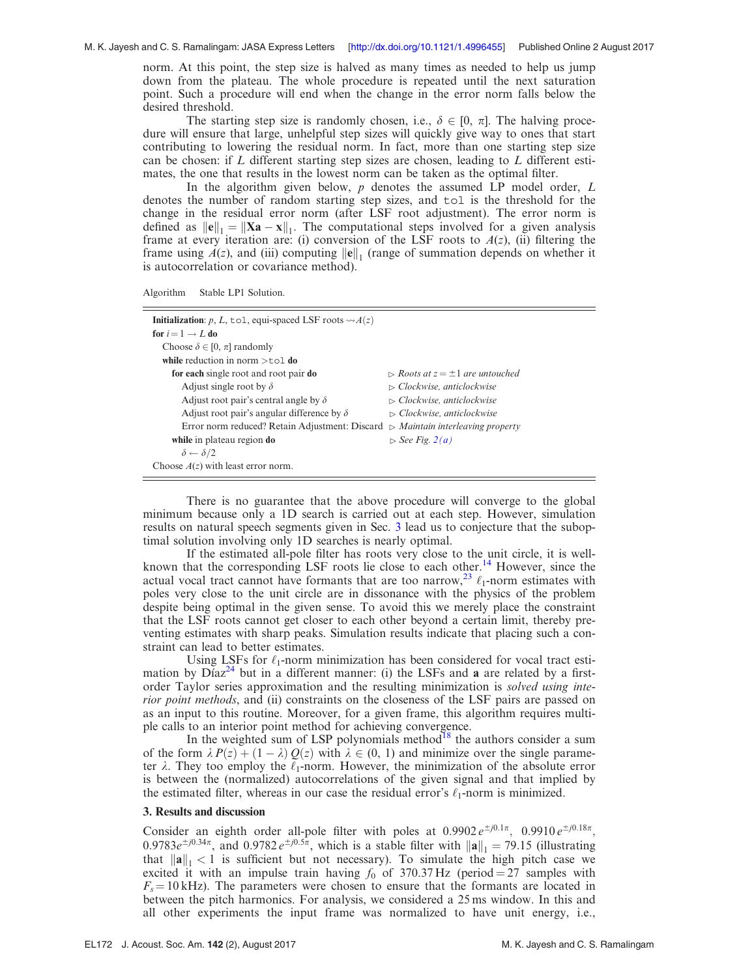<span id="page-3-0"></span>norm. At this point, the step size is halved as many times as needed to help us jump down from the plateau. The whole procedure is repeated until the next saturation point. Such a procedure will end when the change in the error norm falls below the desired threshold.

The starting step size is randomly chosen, i.e.,  $\delta \in [0, \pi]$ . The halving procedure will ensure that large, unhelpful step sizes will quickly give way to ones that start contributing to lowering the residual norm. In fact, more than one starting step size can be chosen: if  $L$  different starting step sizes are chosen, leading to  $L$  different estimates, the one that results in the lowest norm can be taken as the optimal filter.

In the algorithm given below,  $p$  denotes the assumed  $LP$  model order,  $L$ denotes the number of random starting step sizes, and tol is the threshold for the change in the residual error norm (after LSF root adjustment). The error norm is defined as  $||\mathbf{e}||_1 = ||\mathbf{Xa} - \mathbf{x}||_1$ . The computational steps involved for a given analysis frame at every iteration are: (i) conversion of the LSF roots to  $A(z)$ , (ii) filtering the frame using  $A(z)$ , and (iii) computing  $\|\mathbf{e}\|_1$  (range of summation depends on whether it is autocorrelation or covariance method).

| Algorithm | Stable LP1 Solution. |  |
|-----------|----------------------|--|
|-----------|----------------------|--|

| <b>Initialization:</b> p, L, tol, equi-spaced LSF roots $\rightsquigarrow$ A(z)                       |                                                     |
|-------------------------------------------------------------------------------------------------------|-----------------------------------------------------|
| for $i = 1 \rightarrow L$ do                                                                          |                                                     |
| Choose $\delta \in [0, \pi]$ randomly                                                                 |                                                     |
| while reduction in norm $>$ tol do                                                                    |                                                     |
| for each single root and root pair do                                                                 | $\triangleright$ Roots at $z = \pm 1$ are untouched |
| Adjust single root by $\delta$                                                                        | $\triangleright$ Clockwise, anticlockwise           |
| Adjust root pair's central angle by $\delta$                                                          | $\triangleright$ Clockwise, anticlockwise           |
| Adjust root pair's angular difference by $\delta$                                                     | $\triangleright$ Clockwise, anticlockwise           |
| Error norm reduced? Retain Adjustment: Discard $\triangleright$ <i>Maintain interleaving property</i> |                                                     |
| while in plateau region do                                                                            | $\triangleright$ See Fig. 2(a)                      |
| $\delta \leftarrow \delta/2$                                                                          |                                                     |
| Choose $A(z)$ with least error norm.                                                                  |                                                     |

There is no guarantee that the above procedure will converge to the global minimum because only a 1D search is carried out at each step. However, simulation results on natural speech segments given in Sec. 3 lead us to conjecture that the suboptimal solution involving only 1D searches is nearly optimal.

If the estimated all-pole filter has roots very close to the unit circle, it is well-known that the corresponding LSF roots lie close to each other.<sup>[14](#page-7-0)</sup> However, since the actual vocal tract cannot have formants that are too narrow,<sup>[23](#page-7-0)</sup>  $\ell_1$ -norm estimates with poles very close to the unit circle are in dissonance with the physics of the problem despite being optimal in the given sense. To avoid this we merely place the constraint that the LSF roots cannot get closer to each other beyond a certain limit, thereby preventing estimates with sharp peaks. Simulation results indicate that placing such a constraint can lead to better estimates.

Using LSFs for  $\ell_1$ -norm minimization has been considered for vocal tract estimation by  $D'_{1}az^{24}$  $D'_{1}az^{24}$  $D'_{1}az^{24}$  but in a different manner: (i) the LSFs and a are related by a firstorder Taylor series approximation and the resulting minimization is *solved using inte*rior point methods, and (ii) constraints on the closeness of the LSF pairs are passed on as an input to this routine. Moreover, for a given frame, this algorithm requires multiple calls to an interior point method for achieving convergence.

In the weighted sum of LSP polynomials method $^{18}$  the authors consider a sum of the form  $\lambda P(z) + (1 - \lambda) Q(z)$  with  $\lambda \in (0, 1)$  and minimize over the single parameter  $\lambda$ . They too employ the  $\ell_1$ -norm. However, the minimization of the absolute error is between the (normalized) autocorrelations of the given signal and that implied by the estimated filter, whereas in our case the residual error's  $\ell_1$ -norm is minimized.

#### 3. Results and discussion

Consider an eighth order all-pole filter with poles at  $0.9902 e^{\pm j0.1\pi}$ ,  $0.9910 e^{\pm j0.18\pi}$ , 0.9783 $e^{\pm j0.34\pi}$ , and 0.9782 $e^{\pm j0.5\pi}$ , which is a stable filter with  $\|\mathbf{a}\|_1 = 79.15$  (illustrating that  $\|\mathbf{a}\|_1 < 1$  is sufficient but not necessary). To simulate the high pitch case we excited it with an impulse train having  $f_0$  of 370.37 Hz (period = 27 samples with  $F_s = 10 \text{ kHz}$ ). The parameters were chosen to ensure that the formants are located in between the pitch harmonics. For analysis, we considered a 25 ms window. In this and all other experiments the input frame was normalized to have unit energy, i.e.,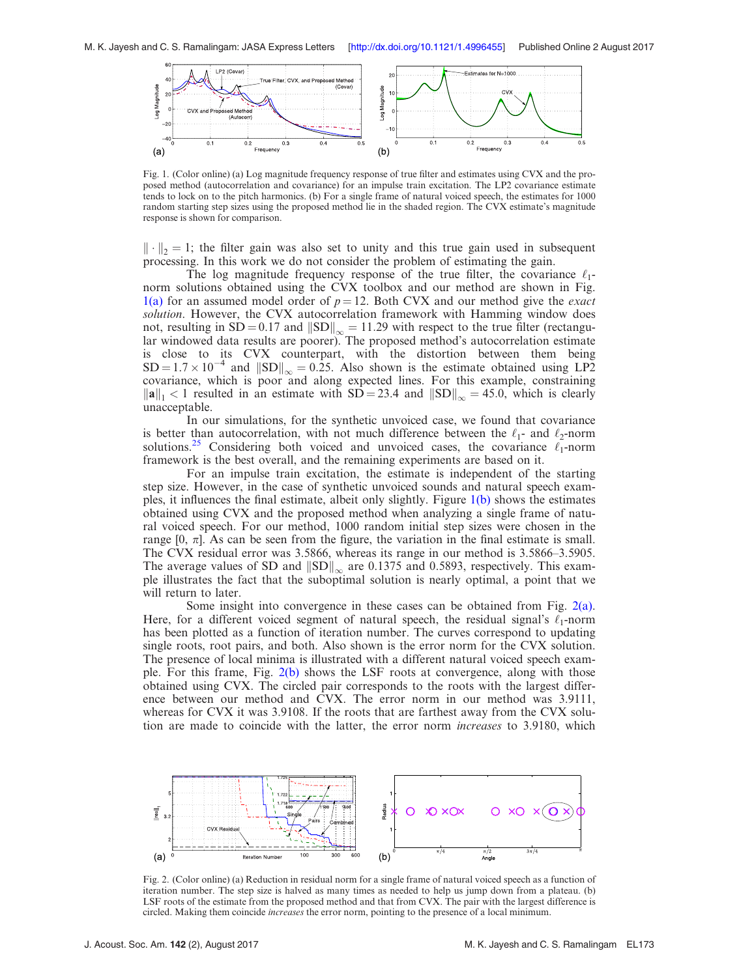<span id="page-4-0"></span>

Fig. 1. (Color online) (a) Log magnitude frequency response of true filter and estimates using CVX and the proposed method (autocorrelation and covariance) for an impulse train excitation. The LP2 covariance estimate tends to lock on to the pitch harmonics. (b) For a single frame of natural voiced speech, the estimates for 1000 random starting step sizes using the proposed method lie in the shaded region. The CVX estimate's magnitude response is shown for comparison.

 $\|\cdot\|_2 = 1$ ; the filter gain was also set to unity and this true gain used in subsequent processing. In this work we do not consider the problem of estimating the gain.

The log magnitude frequency response of the true filter, the covariance  $\ell_1$ norm solutions obtained using the CVX toolbox and our method are shown in Fig. 1(a) for an assumed model order of  $p = 12$ . Both CVX and our method give the *exact* solution. However, the CVX autocorrelation framework with Hamming window does not, resulting in  $SD = 0.17$  and  $||SD||_{\infty} = 11.29$  with respect to the true filter (rectangular windowed data results are poorer). The proposed method's autocorrelation estimate is close to its CVX counterpart, with the distortion between them being  $SD = 1.7 \times 10^{-4}$  and  $||SD||_{\infty} = 0.25$ . Also shown is the estimate obtained using LP2 covariance, which is poor and along expected lines. For this example, constraining  $\|\mathbf{a}\|_{1}$  < 1 resulted in an estimate with SD = 23.4 and  $\|\text{SD}\|_{\infty}$  = 45.0, which is clearly unacceptable.

In our simulations, for the synthetic unvoiced case, we found that covariance is better than autocorrelation, with not much difference between the  $\ell_1$ - and  $\ell_2$ -norm solutions.<sup>[25](#page-7-0)</sup> Considering both voiced and unvoiced cases, the covariance  $\ell_1$ -norm framework is the best overall, and the remaining experiments are based on it.

For an impulse train excitation, the estimate is independent of the starting step size. However, in the case of synthetic unvoiced sounds and natural speech examples, it influences the final estimate, albeit only slightly. Figure 1(b) shows the estimates obtained using CVX and the proposed method when analyzing a single frame of natural voiced speech. For our method, 1000 random initial step sizes were chosen in the range  $[0, \pi]$ . As can be seen from the figure, the variation in the final estimate is small. The CVX residual error was 3.5866, whereas its range in our method is 3.5866–3.5905. The average values of SD and  $||SD||_{\infty}$  are 0.1375 and 0.5893, respectively. This example illustrates the fact that the suboptimal solution is nearly optimal, a point that we will return to later.

Some insight into convergence in these cases can be obtained from Fig.  $2(a)$ . Here, for a different voiced segment of natural speech, the residual signal's  $\ell_1$ -norm has been plotted as a function of iteration number. The curves correspond to updating single roots, root pairs, and both. Also shown is the error norm for the CVX solution. The presence of local minima is illustrated with a different natural voiced speech example. For this frame, Fig. 2(b) shows the LSF roots at convergence, along with those obtained using CVX. The circled pair corresponds to the roots with the largest difference between our method and CVX. The error norm in our method was 3.9111, whereas for CVX it was 3.9108. If the roots that are farthest away from the CVX solution are made to coincide with the latter, the error norm *increases* to 3.9180, which



Fig. 2. (Color online) (a) Reduction in residual norm for a single frame of natural voiced speech as a function of iteration number. The step size is halved as many times as needed to help us jump down from a plateau. (b) LSF roots of the estimate from the proposed method and that from CVX. The pair with the largest difference is circled. Making them coincide *increases* the error norm, pointing to the presence of a local minimum.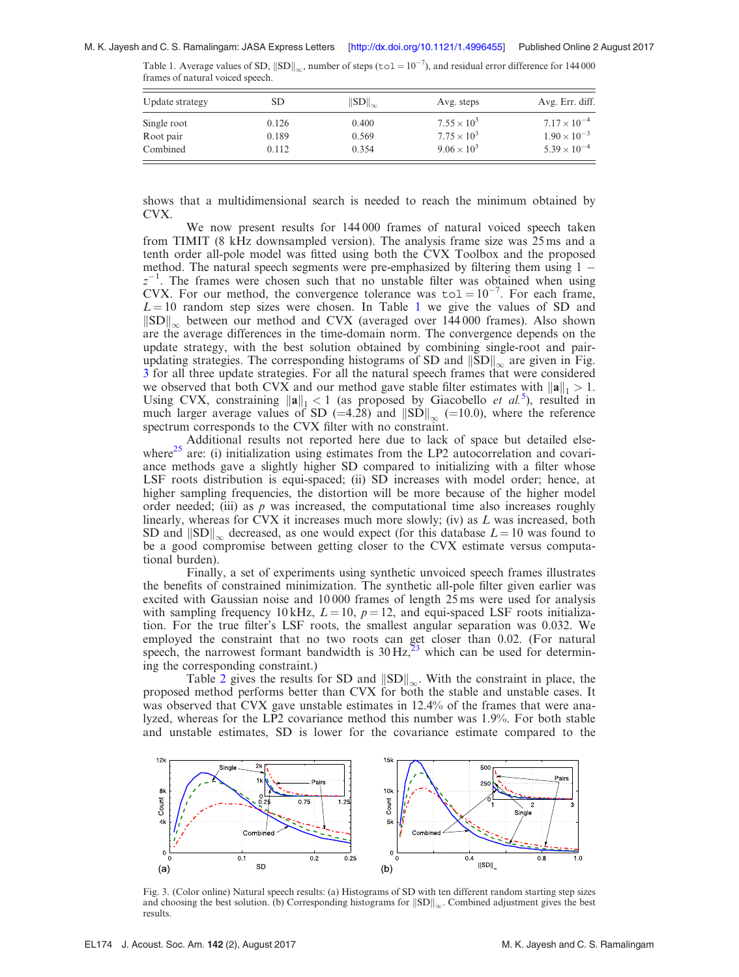Table 1. Average values of SD,  $||SD||_{\infty}$ , number of steps (tol =  $10^{-7}$ ), and residual error difference for 144000 frames of natural voiced speech.

| Update strategy          | SD             | $\left\  SD \right\ _{\infty}$ | Avg. steps                                   | Avg. Err. diff.                                                         |  |
|--------------------------|----------------|--------------------------------|----------------------------------------------|-------------------------------------------------------------------------|--|
| Single root<br>Root pair | 0.126<br>0.189 | 0.400<br>0.569                 | $7.55 \times 10^{3}$<br>$7.75 \times 10^{3}$ | $7.17 \times 10^{-4}$<br>$1.90 \times 10^{-3}$<br>$5.39 \times 10^{-4}$ |  |
| Combined                 | 0.112          | 0.354                          | $9.06 \times 10^{3}$                         |                                                                         |  |

shows that a multidimensional search is needed to reach the minimum obtained by CVX.

We now present results for 144 000 frames of natural voiced speech taken from TIMIT (8 kHz downsampled version). The analysis frame size was 25 ms and a tenth order all-pole model was fitted using both the CVX Toolbox and the proposed method. The natural speech segments were pre-emphasized by filtering them using 1  $z^{-1}$ . The frames were chosen such that no unstable filter was obtained when using CVX. For our method, the convergence tolerance was  $\text{tol} = 10^{-7}$ . For each frame,  $L = 10$  random step sizes were chosen. In Table 1 we give the values of SD and  $\|\text{SD}\|_{\infty}$  between our method and CVX (averaged over 144 000 frames). Also shown are the average differences in the time-domain norm. The convergence depends on the update strategy, with the best solution obtained by combining single-root and pairupdating strategies. The corresponding histograms of SD and  $||SD||_{\infty}$  are given in Fig. 3 for all three update strategies. For all the natural speech frames that were considered we observed that both CVX and our method gave stable filter estimates with  $\|\mathbf{a}\|_{1} > 1$ . Using CVX, constraining  $\|\mathbf{a}\|_1 < 1$  (as proposed by Giacobello et al.<sup>[5](#page-6-0)</sup>), resulted in much larger average values of SD (=4.28) and  $||SD||_{\infty}$  (=10.0), where the reference spectrum corresponds to the CVX filter with no constraint.

Additional results not reported here due to lack of space but detailed else-where<sup>[25](#page-7-0)</sup> are: (i) initialization using estimates from the LP2 autocorrelation and covariance methods gave a slightly higher SD compared to initializing with a filter whose LSF roots distribution is equi-spaced; (ii) SD increases with model order; hence, at higher sampling frequencies, the distortion will be more because of the higher model order needed; (iii) as  $p$  was increased, the computational time also increases roughly linearly, whereas for CVX it increases much more slowly; (iv) as  $L$  was increased, both SD and  $\|\text{SD}\|_{\infty}$  decreased, as one would expect (for this database  $L = 10$  was found to be a good compromise between getting closer to the CVX estimate versus computational burden).

Finally, a set of experiments using synthetic unvoiced speech frames illustrates the benefits of constrained minimization. The synthetic all-pole filter given earlier was excited with Gaussian noise and 10 000 frames of length 25 ms were used for analysis with sampling frequency 10 kHz,  $L = 10$ ,  $p = 12$ , and equi-spaced LSF roots initialization. For the true filter's LSF roots, the smallest angular separation was 0.032. We employed the constraint that no two roots can get closer than 0.02. (For natural speech, the narrowest formant bandwidth is  $30 \text{ Hz}^{23}$  $30 \text{ Hz}^{23}$  $30 \text{ Hz}^{23}$  which can be used for determining the corresponding constraint.)

Table [2](#page-6-0) gives the results for SD and  $||SD||_{\infty}$ . With the constraint in place, the proposed method performs better than CVX for both the stable and unstable cases. It was observed that CVX gave unstable estimates in 12.4% of the frames that were analyzed, whereas for the LP2 covariance method this number was 1.9%. For both stable and unstable estimates, SD is lower for the covariance estimate compared to the



Fig. 3. (Color online) Natural speech results: (a) Histograms of SD with ten different random starting step sizes and choosing the best solution. (b) Corresponding histograms for  $||SD||_{\infty}$ . Combined adjustment gives the best results.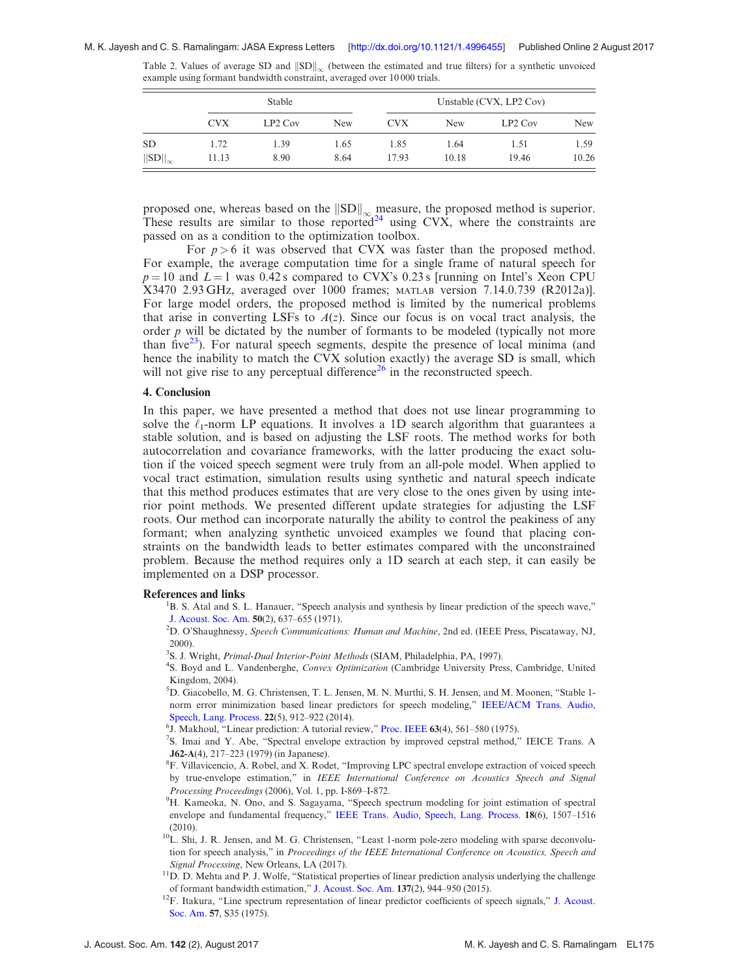|                   | Stable     |           |            | Unstable (CVX, LP2 Cov) |            |           |            |
|-------------------|------------|-----------|------------|-------------------------|------------|-----------|------------|
|                   | <b>CVX</b> | $LP2$ Cov | <b>New</b> | <b>CVX</b>              | <b>New</b> | $LP2$ Cov | <b>New</b> |
| <b>SD</b>         | 1.72       | 1.39      | 1.65       | 1.85                    | l.64       | 1.51      | 1.59       |
| $  SD  _{\infty}$ | 11.13      | 8.90      | 8.64       | 17.93                   | 10.18      | 19.46     | 10.26      |

<span id="page-6-0"></span>Table 2. Values of average SD and  $||SD||_{\infty}$  (between the estimated and true filters) for a synthetic unvoiced example using formant bandwidth constraint, averaged over 10 000 trials.

proposed one, whereas based on the  $\|\text{SD}\|_{\infty}$  measure, the proposed method is superior. These results are similar to those reported<sup>[24](#page-7-0)</sup> using CVX, where the constraints are passed on as a condition to the optimization toolbox.

For  $p > 6$  it was observed that CVX was faster than the proposed method. For example, the average computation time for a single frame of natural speech for  $p = 10$  and  $L = 1$  was 0.42 s compared to CVX's 0.23 s [running on Intel's Xeon CPU X3470 2.93 GHz, averaged over 1000 frames; MATLAB version 7.14.0.739 (R2012a)]. For large model orders, the proposed method is limited by the numerical problems that arise in converting LSFs to  $A(z)$ . Since our focus is on vocal tract analysis, the order  $p$  will be dictated by the number of formants to be modeled (typically not more than five<sup>[23](#page-7-0)</sup>). For natural speech segments, despite the presence of local minima (and hence the inability to match the CVX solution exactly) the average SD is small, which will not give rise to any perceptual difference<sup>[26](#page-7-0)</sup> in the reconstructed speech.

#### 4. Conclusion

In this paper, we have presented a method that does not use linear programming to solve the  $\ell_1$ -norm LP equations. It involves a 1D search algorithm that guarantees a stable solution, and is based on adjusting the LSF roots. The method works for both autocorrelation and covariance frameworks, with the latter producing the exact solution if the voiced speech segment were truly from an all-pole model. When applied to vocal tract estimation, simulation results using synthetic and natural speech indicate that this method produces estimates that are very close to the ones given by using interior point methods. We presented different update strategies for adjusting the LSF roots. Our method can incorporate naturally the ability to control the peakiness of any formant; when analyzing synthetic unvoiced examples we found that placing constraints on the bandwidth leads to better estimates compared with the unconstrained problem. Because the method requires only a 1D search at each step, it can easily be implemented on a DSP processor.

### References and links

<sup>1</sup>B. S. Atal and S. L. Hanauer, "Speech analysis and synthesis by linear prediction of the speech wave," [J. Acoust. Soc. Am.](http://dx.doi.org/10.1121/1.1912679) <sup>50</sup>(2), 637–655 (1971). <sup>2</sup>

<sup>2</sup>D. O'Shaughnessy, Speech Communications: Human and Machine, 2nd ed. (IEEE Press, Piscataway, NJ, 2000).

- <sup>3</sup>S. J. Wright, *Primal-Dual Interior-Point Methods* (SIAM, Philadelphia, PA, 1997).<br><sup>4</sup>S. Boyd and L. Vandenberghe, *Convex Ontimization* (Cambridge University Pre-
- <sup>4</sup>S. Boyd and L. Vandenberghe, Convex Optimization (Cambridge University Press, Cambridge, United Kingdom, 2004).
- 5 D. Giacobello, M. G. Christensen, T. L. Jensen, M. N. Murthi, S. H. Jensen, and M. Moonen, "Stable 1 norm error minimization based linear predictors for speech modeling," [IEEE/ACM Trans. Audio,](http://dx.doi.org/10.1109/TASLP.2014.2311324) [Speech, Lang. Process.](http://dx.doi.org/10.1109/TASLP.2014.2311324) 22(5), 912–922 (2014).

 ${}^{6}$ J. Makhoul, "Linear prediction: A tutorial review," [Proc. IEEE](http://dx.doi.org/10.1109/PROC.1975.9792) 63(4), 561-580 (1975).

- S. Imai and Y. Abe, "Spectral envelope extraction by improved cepstral method," IEICE Trans. A J62-A(4), 217–223 (1979) (in Japanese). <sup>8</sup> F. Villavicencio, A. Robel, and X. Rodet, "Improving LPC spectral envelope extraction of voiced speech
- by true-envelope estimation," in IEEE International Conference on Acoustics Speech and Signal Processing Proceedings (2006), Vol. 1, pp. I-869–I-872. <sup>9</sup>
- <sup>9</sup>H. Kameoka, N. Ono, and S. Sagayama, "Speech spectrum modeling for joint estimation of spectral envelope and fundamental frequency," [IEEE Trans. Audio, Speech, Lang. Process.](http://dx.doi.org/10.1109/TASL.2009.2036287) 18(6), 1507–1516 (2010).
- <sup>10</sup>L. Shi, J. R. Jensen, and M. G. Christensen, "Least 1-norm pole-zero modeling with sparse deconvolution for speech analysis," in Proceedings of the IEEE International Conference on Acoustics, Speech and Signal Processing, New Orleans, LA (2017).
- <sup>11</sup>D. D. Mehta and P. J. Wolfe, "Statistical properties of linear prediction analysis underlying the challenge of formant bandwidth estimation," [J. Acoust. Soc. Am.](http://dx.doi.org/10.1121/1.4906840) 137(2), 944–950 (2015). <sup>12</sup>F. Itakura, "Line spectrum representation of linear predictor coefficients of speech signals," [J. Acoust.](http://dx.doi.org/10.1121/1.1995189)
- [Soc. Am.](http://dx.doi.org/10.1121/1.1995189) 57, S35 (1975).